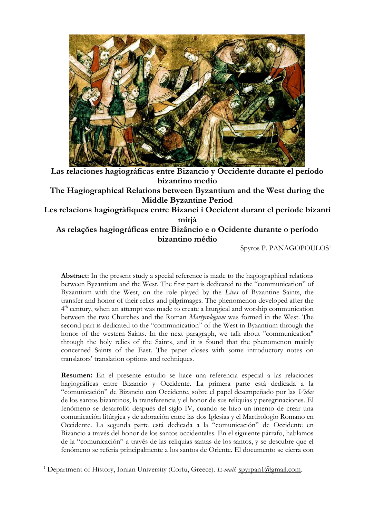

**Las relaciones hagiográficas entre Bizancio y Occidente durante el período bizantino medio The Hagiographical Relations between Byzantium and the West during the Middle Byzantine Period**

**Les relacions hagiogràfiques entre Bizanci i Occident durant el període bizantí mitjà**

# **As relações hagiográficas entre Bizâncio e o Ocidente durante o período bizantino médio**

Spyros P. PANAGOPOULOS<sup>1</sup>

**Abstract:** In the present study a special reference is made to the hagiographical relations between Byzantium and the West. The first part is dedicated to the "communication" of Byzantium with the West, on the role played by the *Lives* of Byzantine Saints, the transfer and honor of their relics and pilgrimages. The phenomenon developed after the 4<sup>th</sup> century, when an attempt was made to create a liturgical and worship communication between the two Churches and the Roman *Martyrologium* was formed in the West. The second part is dedicated to the "communication" of the West in Byzantium through the honor of the western Saints. In the next paragraph, we talk about "communication" through the holy relics of the Saints, and it is found that the phenomenon mainly concerned Saints of the East. The paper closes with some introductory notes on translators' translation options and techniques.

**Resumen:** En el presente estudio se hace una referencia especial a las relaciones hagiográficas entre Bizancio y Occidente. La primera parte está dedicada a la "comunicación" de Bizancio con Occidente, sobre el papel desempeñado por las *Vidas* de los santos bizantinos, la transferencia y el honor de sus reliquias y peregrinaciones. El fenómeno se desarrolló después del siglo IV, cuando se hizo un intento de crear una comunicación litúrgica y de adoración entre las dos Iglesias y el Martirologio Romano en Occidente. La segunda parte está dedicada a la "comunicación" de Occidente en Bizancio a través del honor de los santos occidentales. En el siguiente párrafo, hablamos de la "comunicación" a través de las reliquias santas de los santos, y se descubre que el fenómeno se refería principalmente a los santos de Oriente. El documento se cierra con

<sup>&</sup>lt;sup>1</sup> Department of History, Ionian University (Corfu, Greece). *E-mail*: [spyrpan1@gmail.com.](mailto:spyrpan1@gmail.com)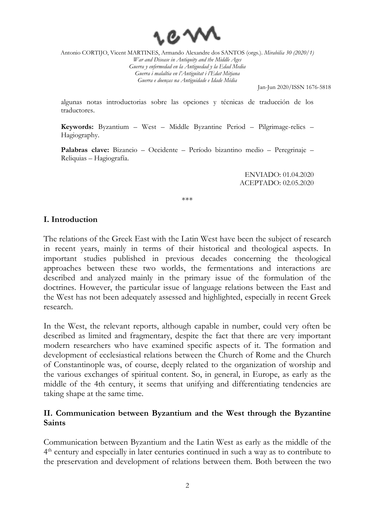

Jan-Jun 2020/ISSN 1676-5818

algunas notas introductorias sobre las opciones y técnicas de traducción de los traductores.

**Keywords:** Byzantium – West – Middle Byzantine Period – Pilgrimage-relics – Hagiography.

**Palabras clave:** Bizancio – Occidente – Período bizantino medio – Peregrinaje – Reliquias – Hagiografía.

> ENVIADO: 01.04.2020 ACEPTADO: 02.05.2020

\*\*\*

#### **I. Introduction**

The relations of the Greek East with the Latin West have been the subject of research in recent years, mainly in terms of their historical and theological aspects. In important studies published in previous decades concerning the theological approaches between these two worlds, the fermentations and interactions are described and analyzed mainly in the primary issue of the formulation of the doctrines. However, the particular issue of language relations between the East and the West has not been adequately assessed and highlighted, especially in recent Greek research.

In the West, the relevant reports, although capable in number, could very often be described as limited and fragmentary, despite the fact that there are very important modern researchers who have examined specific aspects of it. The formation and development of ecclesiastical relations between the Church of Rome and the Church of Constantinople was, of course, deeply related to the organization of worship and the various exchanges of spiritual content. So, in general, in Europe, as early as the middle of the 4th century, it seems that unifying and differentiating tendencies are taking shape at the same time.

## **II. Communication between Byzantium and the West through the Byzantine Saints**

Communication between Byzantium and the Latin West as early as the middle of the 4<sup>th</sup> century and especially in later centuries continued in such a way as to contribute to the preservation and development of relations between them. Both between the two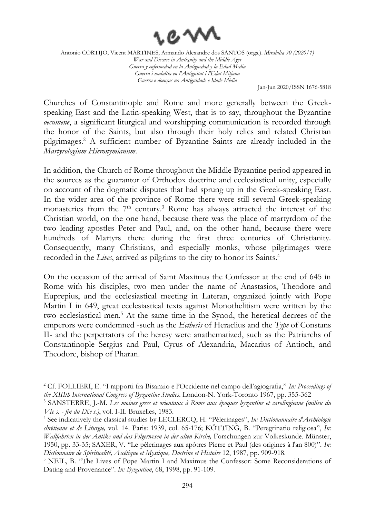

Jan-Jun 2020/ISSN 1676-5818

Churches of Constantinople and Rome and more generally between the Greekspeaking East and the Latin-speaking West, that is to say, throughout the Byzantine *oecumene*, a significant liturgical and worshipping communication is recorded through the honor of the Saints, but also through their holy relics and related Christian pilgrimages. <sup>2</sup> A sufficient number of Byzantine Saints are already included in the *Martyrologium Hieronymianum*.

In addition, the Church of Rome throughout the Middle Byzantine period appeared in the sources as the guarantor of Orthodox doctrine and ecclesiastical unity, especially on account of the dogmatic disputes that had sprung up in the Greek-speaking East. In the wider area of the province of Rome there were still several Greek-speaking monasteries from the  $7<sup>th</sup>$  century.<sup>3</sup> Rome has always attracted the interest of the Christian world, on the one hand, because there was the place of martyrdom of the two leading apostles Peter and Paul, and, on the other hand, because there were hundreds of Martyrs there during the first three centuries of Christianity. Consequently, many Christians, and especially monks, whose pilgrimages were recorded in the *Lives*, arrived as pilgrims to the city to honor its Saints. 4

On the occasion of the arrival of Saint Maximus the Confessor at the end of 645 in Rome with his disciples, two men under the name of Anastasios, Theodore and Euprepius, and the ecclesiastical meeting in Lateran, organized jointly with Pope Martin I in 649, great ecclesiastical texts against Monothelitism were written by the two ecclesiastical men. <sup>5</sup> At the same time in the Synod, the heretical decrees of the emperors were condemned -such as the *Ecthesis* of Heraclius and the *Type* of Constans II- and the perpetrators of the heresy were anathematized, such as the Patriarchs of Constantinople Sergius and Paul, Cyrus of Alexandria, Macarius of Antioch, and Theodore, bishop of Pharan.

<sup>2</sup> Cf. FOLLIERI, E. "I rapporti fra Bisanzio e l'Occidente nel campo dell'agiografia," *In: Proceedings of the XIIIth International Congress of Byzantine Studies*. London-N. York-Toronto 1967, pp. 355-362

<sup>3</sup> SANSTERRE, J.-M. *Les moines grecs et orientaux à Rome aux époques byzantine et carolingienne (milieu du VIe s. - fin du IXe s.)*, vol. I-II. Bruxelles, 1983.

<sup>4</sup> See indicatively the classical studies by LECLERCQ, H. "Pèlerinages", *In: Dictionannaire d'Archéologie chrétienne et de Liturgie,* vol. 14. Paris: 1939, col. 65-176; KÖTTING, B. "Peregrinatio religiosa", *In: Wallfahrten in der Antike und das Pilgerwesen in der alten Kirche,* Forschungen zur Volkeskunde. Münster, 1950, pp. 33-35; SAXER, V. "Le pèlerinages aux apôtres Pierre et Paul (des origines à l'an 800)". *In: Dictionnaire de Spiritualité, Ascétique et Mystique, Doctrine et Histoire* 12, 1987, pp. 909-918.

<sup>&</sup>lt;sup>5</sup> NEIL, B. "The Lives of Pope Martin I and Maximus the Confessor: Some Reconsiderations of Dating and Provenance". *In: Byzantion*, 68, 1998, pp. 91-109.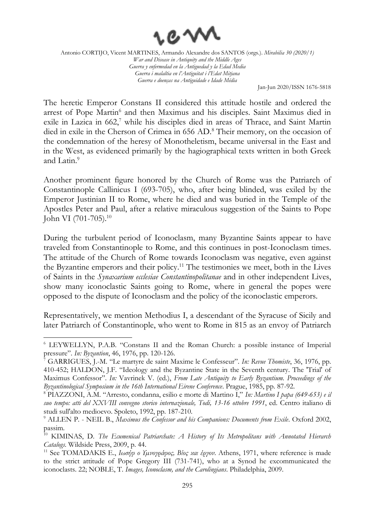

Jan-Jun 2020/ISSN 1676-5818

The heretic Emperor Constans II considered this attitude hostile and ordered the arrest of Pope Martin<sup>6</sup> and then Maximus and his disciples. Saint Maximus died in exile in Lazica in 662,<sup>7</sup> while his disciples died in areas of Thrace, and Saint Martin died in exile in the Cherson of Crimea in 656 AD. <sup>8</sup> Their memory, on the occasion of the condemnation of the heresy of Monotheletism, became universal in the East and in the West, as evidenced primarily by the hagiographical texts written in both Greek and Latin. 9

Another prominent figure honored by the Church of Rome was the Patriarch of Constantinople Callinicus I (693-705), who, after being blinded, was exiled by the Emperor Justinian II to Rome, where he died and was buried in the Temple of the Apostles Peter and Paul, after a relative miraculous suggestion of the Saints to Pope John VI (701-705).<sup>10</sup>

During the turbulent period of Iconoclasm, many Byzantine Saints appear to have traveled from Constantinople to Rome, and this continues in post-Iconoclasm times. The attitude of the Church of Rome towards Iconoclasm was negative, even against the Byzantine emperors and their policy. <sup>11</sup> The testimonies we meet, both in the Lives of Saints in the *Synaxarium ecclesiae Constantinopolitanae* and in other independent Lives, show many iconoclastic Saints going to Rome, where in general the popes were opposed to the dispute of Iconoclasm and the policy of the iconoclastic emperors.

Representatively, we mention Methodius I, a descendant of the Syracuse of Sicily and later Patriarch of Constantinople, who went to Rome in 815 as an envoy of Patriarch

<sup>6</sup> LEYWELLYN, P.A.B. "Constans II and the Roman Church: a possible instance of Imperial pressure". *In: Byzantion*, 46, 1976, pp. 120-126.

<sup>7</sup> GARRIGUES, J.-M. "Le martyre de saint Maxime le Confesseur". *In: Revue Thomiste*, 36, 1976, pp. 410-452; HALDON, J.F. "Ideology and the Byzantine State in the Seventh century. The 'Trial' of Maximus Confessor". *In:* Vavrinek V. (ed.), *From Late Antiquity to Early Byzantium. Proceedings of the Byzantinological Symposium in the 16th International Eirene Conference*. Prague, 1985, pp. 87-92.

<sup>8</sup> PIAZZONI, A.M. "Arresto, condanna, esilio e morte di Martino I," *In: Martino I papa (649-653) e il suo tempo: atti del XXVIII convegno storico internazionale, Todi, 13-16 ottobre 1991*, ed. Centro italiano di studi sull'alto medioevo. Spoleto, 1992, pp. 187-210.

<sup>9</sup> ALLEN P. - NEIL B., *Maximus the Confessor and his Companions: Documents from Exile*. Oxford 2002, passim.

<sup>&</sup>lt;sup>10</sup> KIMINAS, D. *The Ecumenical Patriarchate: A History of Its Metropolitans with Annotated Hierarch Catalogs*. Wildside Press, 2009, p. 44.

<sup>11</sup> See TOMADAKIS E., *Ιωσήφ ο Υµνογράφος, Βίος και έργον*. Athens, 1971, where reference is made to the strict attitude of Pope Gregory III (731-741), who at a Synod he excommunicated the iconoclasts. 22; NOBLE, T. *Images, Iconoclasm, and the Carolingians*. Philadelphia, 2009.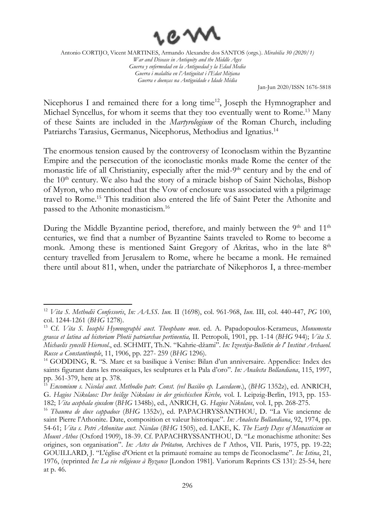

Jan-Jun 2020/ISSN 1676-5818

Nicephorus I and remained there for a long time<sup>12</sup>, Joseph the Hymnographer and Michael Syncellus, for whom it seems that they too eventually went to Rome. <sup>13</sup> Many of these Saints are included in the *Martyrologium* of the Roman Church, including Patriarchs Tarasius, Germanus, Nicephorus, Methodius and Ignatius.<sup>14</sup>

The enormous tension caused by the controversy of Iconoclasm within the Byzantine Empire and the persecution of the iconoclastic monks made Rome the center of the monastic life of all Christianity, especially after the mid-9<sup>th</sup> century and by the end of the 10th century. We also had the story of a miracle bishop of Saint Nicholas, Bishop of Myron, who mentioned that the Vow of enclosure was associated with a pilgrimage travel to Rome. <sup>15</sup> This tradition also entered the life of Saint Peter the Athonite and passed to the Athonite monasticism. 16

During the Middle Byzantine period, therefore, and mainly between the 9<sup>th</sup> and 11<sup>th</sup> centuries, we find that a number of Byzantine Saints traveled to Rome to become a monk. Among these is mentioned Saint Gregory of Akritas, who in the late 8<sup>th</sup> century travelled from Jerusalem to Rome, where he became a monk. He remained there until about 811, when, under the patriarchate of Nikephoros I, a three-member

<sup>12</sup> *Vita S. Methodii Confessoris*, *In: AA.SS. Iun.* II (1698), col. 961-968, *Iun*. III, col. 440-447, *PG* 100, col. 1244-1261 (*BHG* 1278).

<sup>13</sup> Cf. *Vita S. Iosephi Hymnographi auct. Theophane mon*. ed. A. Papadopoulos-Kerameus, *Monumenta graeca et latina ad historiam Photii patriarchae pertinentia,* II. Petropoli, 1901, pp. 1-14 (*BHG* 944); *Vita S. Michaelis syncelli Hierosol*., ed. SCHMIT, Th.N. "Kahrie-džami". *In: Izvestija-Bulletin de l' Institut Archaeol. Russe a Constantinople*, 11, 1906, pp. 227- 259 (*BHG* 1296).

<sup>14</sup> GODDING, R. "S. Marc et sa basilique à Venise: Bilan d'un anniversaire. Appendice: Index des saints figurant dans les mosaïques, les sculptures et la Pala d'oro"*. In: Analecta Bollandiana*, 115, 1997, pp. 361-379, here at p. 378.

<sup>15</sup> *Encomium s. Nicolai auct. Methodio patr. Const. (vel Basileo ep. Lacedaem*.), (*BHG* 1352z), ed. ANRICH, G. *Hagios Nikolaos: Der heilige Nikolaos in der griechischen Kirche,* vol. I. Leipzig-Berlin, 1913, pp. 153- 182; *Vita acephala ejusdem* (*BHG* 1348b), ed., ANRICH, G. *Hagios Nikolaos*, vol. I, pp. 268-275.

<sup>16</sup> *Thauma de duce cappadoce* (*BHG* 1352v), ed. PAPACHRYSSANTHOU, D. "La Vie ancienne de saint Pierre l'Athonite. Date, composition et valeur historique". *In: Analecta Bollandiana*, 92, 1974, pp. 54-61; *Vita s. Petri Athonitae auct. Nicolao* (*BHG* 1505), ed. LAKE, Κ. *The Early Days of Monasticism on Mount Athos* (Oxford 1909), 18-39. Cf. PAPACHRYSSANTHOU, D. "Le monachisme athonite: Ses origines, son organisation". *In: Actes du Prôtaton,* Archives de l' Athos, VII. Paris, 1975, pp. 19-22; GOUILLARD, J. "L'église d'Orient et la primauté romaine au temps de l'iconoclasme". *In: Istina*, 21, 1976, (reprinted *In: La vie religieuse à Byzance* [London 1981]. Variorum Reprints СS 131): 25-54, here at p. 46.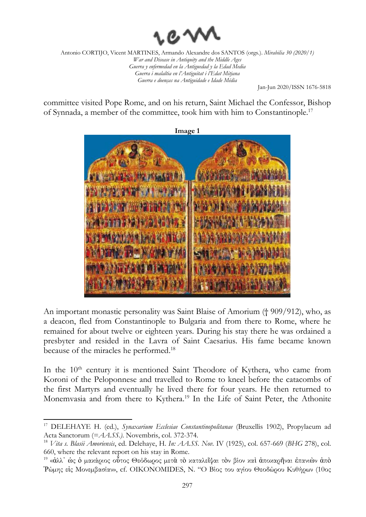

Jan-Jun 2020/ISSN 1676-5818

committee visited Pope Rome, and on his return, Saint Michael the Confessor, Bishop of Synnada, a member of the committee, took him with him to Constantinople. 17



An important monastic personality was Saint Blaise of Amorium († 909/912), who, as a deacon, fled from Constantinople to Bulgaria and from there to Rome, where he remained for about twelve or eighteen years. During his stay there he was ordained a presbyter and resided in the Lavra of Saint Caesarius. His fame became known because of the miracles he performed.<sup>18</sup>

In the 10<sup>th</sup> century it is mentioned Saint Theodore of Kythera, who came from Koroni of the Peloponnese and travelled to Rome to kneel before the catacombs of the first Martyrs and eventually he lived there for four years. He then returned to Monemvasia and from there to Kythera. <sup>19</sup> In the Life of Saint Peter, the Athonite

<sup>17</sup> DELEHAYE H. (ed.), *Synaxarium Ecclesiae Constantinopolitanae* (Bruxellis 1902), Propylaeum ad Acta Sanctorum (=*AA.SS.)*. Novembris, col. 372-374.

<sup>18</sup> *Vita s. Blasii Amoriensis*, ed. Delehaye, H. *In: AA.SS. Nov.* IV (1925), col. 657-669 (*BHG* 278), col. 660, where the relevant report on his stay in Rome.

<sup>&</sup>lt;sup>19</sup> «ἀλλ' ώς ὁ μακάριος οὗτος Θεόδωρος μετὰ τὸ καταλεῖψαι τὸν βίον καὶ ἀποκαρῆναι ἐπανιὼν ἀπὸ Ῥώµης εἰς Μονεµβασίαν», cf. OIKONOMIDES, N. "Ο Βίος του αγίου Θεοδώρου Κυθήρων (10ος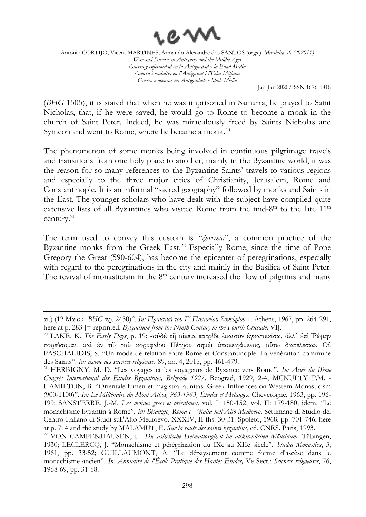

Jan-Jun 2020/ISSN 1676-5818

(*BHG* 1505), it is stated that when he was imprisoned in Samarra, he prayed to Saint Nicholas, that, if he were saved, he would go to Rome to become a monk in the church of Saint Peter. Indeed, he was miraculously freed by Saints Nicholas and Symeon and went to Rome, where he became a monk.<sup>20</sup>

The phenomenon of some monks being involved in continuous pilgrimage travels and transitions from one holy place to another, mainly in the Byzantine world, it was the reason for so many references to the Byzantine Saints' travels to various regions and especially to the three major cities of Christianity, Jerusalem, Rome and Constantinople. It is an informal "sacred geography" followed by monks and Saints in the East. The younger scholars who have dealt with the subject have compiled quite extensive lists of all Byzantines who visited Rome from the mid-8<sup>th</sup> to the late  $11<sup>th</sup>$ century. 21

The term used to convey this custom is "*ξενιτεία*", a common practice of the Byzantine monks from the Greek East. <sup>22</sup> Especially Rome, since the time of Pope Gregory the Great (590-604), has become the epicenter of peregrinations, especially with regard to the peregrinations in the city and mainly in the Basilica of Saint Peter. The revival of monasticism in the 8<sup>th</sup> century increased the flow of pilgrims and many

αι.) (12 Μαΐου -*BHG* αρ. 2430)". *In: Πρακτικά του Γ' Πανιονίου Συνεδρίου* 1. Athens, 1967, pp. 264-291, here at p. 283 [= reprinted, *Byzantium from the Ninth Century to the Fourth Crusade*, VI].

<sup>20</sup> LAKE, K. *The Early Days*, p. 19: «οὐδὲ τῆ οἰκεία πατρίδι ἐµαυτὸν ἐγκατοικίσω*,* ἀλλ᾿ ἐπὶ Ῥώµην πορεύσοµαι*,* καὶ ἐν τῶ τοῦ κορυφαίου Πέτρου σηκῶ ἀποκειράµενος*,* οὕτω διατελέσω». Cf. PASCHALIDIS, S. "Un mode de relation entre Rome et Constantinople: La vénération commune des Saints". *In: Revue des sciences religieuses* 89, no. 4, 2015, pp. 461-479.

<sup>21</sup> HERBIGNY, M. D. "Les voyages et les voyageurs de Byzance vers Rome". *In: Actes du IIème Congrès International des Études Byzantines, Belgrade 1927*. Beograd, 1929, 2-4; MCNULTY P.M. - HAMILTON, B. "Orientale lumen et magistra latinitas: Greek Influences on Western Monasticism (900-1100)". *In: Le Millénaire du Mont Athos, 963-1963, Études et Mélanges*. Chevetogne, 1963, pp. 196- 199; SANSTERRE, J.-M. *Les moines grecs et orientaux*. vol. Ι: 150-152, vol. II: 179-180; idem, "Le monachisme byzantin à Rome". *In: Bisanzio, Roma e Vitalia nell'Alto Medioevo*. Settimane di Studio del Centro Italiano di Studi sull'Alto Medioevo. XXXIV, II fhs. 30-31. Spoleto, 1968, pp. 701-746, here at p. 714 and the study by MALAMUT, E. *Sur la route des saints byzantins*, ed. CNRS. Paris, 1993.

<sup>22</sup> VON CAMPENHAUSEN, H. *Die asketische Heimatlosigkeit im altkirchlichen Mönchtum*. Tübingen, 1930; LECLERCQ, J. "Monachisme et pérégrination du IXe au XIIe siècle". *Studia Monastica*, 3, 1961, pp. 33-52; GUILLAUMONT, A. "Le dépaysement comme forme d'ascèse dans le monachisme ancien". *In: Annuaire de l'École Pratique des Hautes Études,* Ve Sect.: *Sciences religieuses*, 76, 1968-69, pp. 31-58.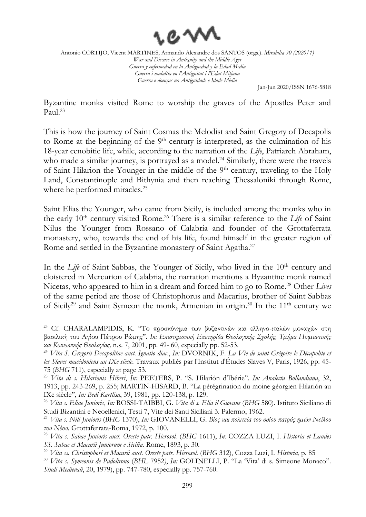

Jan-Jun 2020/ISSN 1676-5818

Byzantine monks visited Rome to worship the graves of the Apostles Peter and Paul. 23

This is how the journey of Saint Cosmas the Melodist and Saint Gregory of Decapolis to Rome at the beginning of the 9<sup>th</sup> century is interpreted, as the culmination of his 18-year cenobitic life, while, according to the narration of the *Life*, Patriarch Abraham, who made a similar journey, is portrayed as a model.<sup>24</sup> Similarly, there were the travels of Saint Hilarion the Younger in the middle of the  $9<sup>th</sup>$  century, traveling to the Holy Land, Constantinople and Bithynia and then reaching Thessaloniki through Rome, where he performed miracles.<sup>25</sup>

Saint Elias the Younger, who came from Sicily, is included among the monks who in the early 10<sup>th</sup> century visited Rome.<sup>26</sup> There is a similar reference to the *Life* of Saint Nilus the Younger from Rossano of Calabria and founder of the Grottaferrata monastery, who, towards the end of his life, found himself in the greater region of Rome and settled in the Byzantine monastery of Saint Agatha.<sup>27</sup>

In the *Life* of Saint Sabbas, the Younger of Sicily, who lived in the 10<sup>th</sup> century and cloistered in Mercurion of Calabria, the narration mentions a Byzantine monk named Nicetas, who appeared to him in a dream and forced him to go to Rome. <sup>28</sup> Other *Lives* of the same period are those of Christophorus and Macarius, brother of Saint Sabbas of Sicily<sup>29</sup> and Saint Symeon the monk, Armenian in origin.<sup>30</sup> In the 11<sup>th</sup> century we

<sup>&</sup>lt;sup>23</sup> Cf. CHARALAMPIDIS, K. "Το προσκύνημα των βυζαντινών και ελληνο-ιταλών μοναγών στη βασιλική του Αγίου Πέτρου Ρώµης". *In: Επιστηµονική Επετηρίδα Θεολογικής Σχολής, Τµήμα Ποιµαντικής και Κοινωνικής Θεολογίας,* n.s. 7, 2001, pp. 49- 60, especially pp. 52-53.

<sup>24</sup> *Vita S. Gregorii Decapolitae auct. Ignatio diac*., *In:* DVORNIK, F. *La Vie de saint Grégoire le Décapolite et les Slaves macédoniens au IXe siècle*. Travaux publiés par l'Institut d'Études Slaves V, Paris, 1926, pp. 45- 75 (*BHG* 711), especially at page 53.

<sup>25</sup> *Vita di s. Hilarionis Hiberi*, *In:* PEETERS, P. "S. Hilarión d'Ibérie". *In: Analecta Bollandiana*, 32, 1913, pp. 243-269, p. 255; MARTIN-HISARD, B. "La pérégrination du moine géorgien Hilarión au IXe siècle", *In: Bedi Kartlisa*, 39, 1981, pp. 120-138, p. 129.

<sup>26</sup> *Vita s. Eliae Junioris*, *In:* ROSSI-TAIBBI, G. *Vita di s. Elia il Giovane* (*BHG* 580). Istituto Siciliano di Studi Bizantini e Neoellenici, Testi 7, Vite dei Santi Siciliani 3. Palermo, 1962.

<sup>27</sup> *Vita s. Nili Junioris* (*BHG* 1370), *In:* GIOVANELLI, G. *Βίος και πολιτεία του οσίου πατρός ηµών Νείλου του Νέου.* Grottaferrata-Roma, 1972, p. 100.

<sup>28</sup> *Vita s. Sabae Junioris auct. Oreste patr. Hierosol.* (*BHG* 1611), *In:* COZZA LUZI, I. *Historia et Laudes SS. Sabae et Macarii Juniorum e Sicilia.* Rome, 1893, p. 30.

<sup>29</sup> *Vita ss. Christophori et Macarii auct. Oreste patr. Hierosol.* (*BHG* 312), Cozza Luzi, I. *Historia*, p. 85

<sup>30</sup> *Vita s. Symeonis de Padolirono* (*BHL* 7952*)*, *In:* GOLINELLI, P. "La 'Vita' di s. Simeone Monaco". *Studi Medievali*, 20, 1979), pp. 747-780, especially pp. 757-760.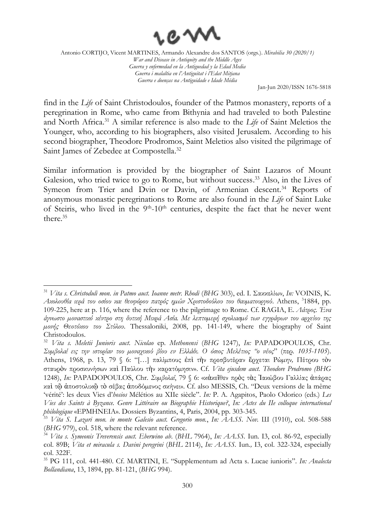

Jan-Jun 2020/ISSN 1676-5818

find in the *Life* of Saint Christodoulos, founder of the Patmos monastery, reports of a peregrination in Rome, who came from Bithynia and had traveled to both Palestine and North Africa. <sup>31</sup> A similar reference is also made to the *Life* of Saint Meletios the Younger, who, according to his biographers, also visited Jerusalem. According to his second biographer, Theodore Prodromos, Saint Meletios also visited the pilgrimage of Saint James of Zebedee at Compostella.<sup>32</sup>

Similar information is provided by the biographer of Saint Lazaros of Mount Galesion, who tried twice to go to Rome, but without success.<sup>33</sup> Also, in the Lives of Symeon from Trier and Dvin or Davin, of Armenian descent.<sup>34</sup> Reports of anonymous monastic peregrinations to Rome are also found in the *Life* of Saint Luke of Steiris, who lived in the  $9<sup>th</sup>$ -10<sup>th</sup> centuries, despite the fact that he never went there. 35

<sup>31</sup> *Vita s. Christoduli mon. in Patmo auct. Ioanne metr. Rhodi* (*BHG* 303), ed. Ι. Σακκελίων, *In:* VOINIS, Κ. *Ακολουθία ιερά του οσίου και θεοφόρου πατρός ηµών Χριστοδούλου του θαυµατουργού*. Athens, <sup>3</sup> 1884, pp. 109-225, here at p. 116, where the reference to the pilgrimage to Rome. Cf. RAGIA, Ε. *Λάτρος. Ένα άγνωστο µοναστικό κέντρο στη δυτική Μικρά Ασία. Με λεπτοµερή σχολιασµό των εγγράφων του αρχείου της µονής Θεοτόκου του Στύλου*. Thessaloniki, 2008, pp. 141-149, where the biography of Saint Christodoulos.

<sup>32</sup> *Vita s. Meletii Junioris auct. Nicolao* ер*. Methonensi* (*BHG* 1247), *In:* PAPADOPOULOS, Chr. *Συµβολαί εις την ιστορίαν του µοναχικού βίου εν Ελλάδι. Ο όσιος Μελέτιος "ο νέος*" (περ*. 1035-1105*). Athens, 1968, p. 13, 79 § 6: "[…] παλίµπους ἐπὶ τὴν πρεσβυτέραν ἔρχεται Ρώµην*,* Πέτρου τὸν σταυρὸν προσκυνήσων καὶ Παύλου τὴν καρατόµησιν». Cf. *Vita ejusdem auct. Theodore Prodromo (BHG*  1248), *In:* PAPADOPOULOS, Chr. *Συµβολαί*, 79 § 6: «κἀκεῖθεν πρὸς τὰς Ἰακώβου Γαλλίας ἀπάρας καὶ τῷ ἀποστολικῷ τὸ σέβας ἀποδόµενος σκήνει». Cf. also MESSIS, Ch. "Deux versions de la même 'vérité': les deux Vies d'*hosios* Mélétios au XIIe siècle". *In:* P. A. Agapitos, Paolo Odorico (eds.) *Les Vies des Saints à Byzance. Genre Littéraire ou Biographie Historique?*, *In: Actes du IIe colloque international philologique* «EPMHNEIA». Dossiers Byzantins, 4, Paris, 2004, pp. 303-345.

<sup>33</sup> *Vita S. Lazari mon. in monte Galesio auct. Gregorio mon.*, *In: AA.SS. Nov.* Ш (1910), col. 508-588 (*BHG* 979), col. 518, where the relevant reference.

<sup>34</sup> *Vita s. Symeonis Treverensis auct. Eberwino ab*. (*BHL* 7964), *In: AA.SS.* Ιun*.* I3, col. 86-92, especially col. 89B; *Vita et miracula s. Davini peregrini* (*BHL* 2114), *In: AA.SS.* Ιun*.,* I3, col. 322-324, especially col. 322F.

<sup>35</sup> PG 111, col. 441-480. Cf. MARTINI, E. "Supplementum ad Acta s. Lucae iunioris". *In: Analecta Bollandiana*, 13, 1894, pp. 81-121, (*BHG* 994).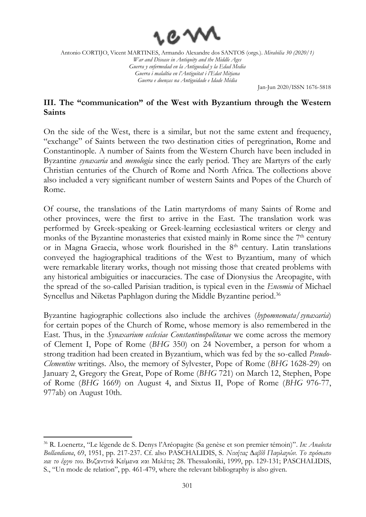

Jan-Jun 2020/ISSN 1676-5818

# **III. The "communication" of the West with Byzantium through the Western Saints**

On the side of the West, there is a similar, but not the same extent and frequency, "exchange" of Saints between the two destination cities of peregrination, Rome and Constantinople. A number of Saints from the Western Church have been included in Byzantine *synaxaria* and *menologia* since the early period. They are Martyrs of the early Christian centuries of the Church of Rome and North Africa. The collections above also included a very significant number of western Saints and Popes of the Church of Rome.

Of course, the translations of the Latin martyrdoms of many Saints of Rome and other provinces, were the first to arrive in the East. The translation work was performed by Greek-speaking or Greek-learning ecclesiastical writers or clergy and monks of the Byzantine monasteries that existed mainly in Rome since the  $7<sup>th</sup>$  century or in Magna Graecia, whose work flourished in the 8<sup>th</sup> century. Latin translations conveyed the hagiographical traditions of the West to Byzantium, many of which were remarkable literary works, though not missing those that created problems with any historical ambiguities or inaccuracies. The case of Dionysius the Areopagite, with the spread of the so-called Parisian tradition, is typical even in the *Encomia* of Michael Syncellus and Niketas Paphlagon during the Middle Byzantine period.<sup>36</sup>

Byzantine hagiographic collections also include the archives (*hypomnemata/synaxaria*) for certain popes of the Church of Rome, whose memory is also remembered in the East. Thus, in the *Synaxarium ecclesiae Constantinopolitanae* we come across the memory of Clement I, Pope of Rome (*BHG* 350) on 24 November, a person for whom a strong tradition had been created in Byzantium, which was fed by the so-called *Pseudo-Clementine* writings. Also, the memory of Sylvester, Pope of Rome (*BHG* 1628-29) on January 2, Gregory the Great, Pope of Rome (*BHG* 721) on March 12, Stephen, Pope of Rome (*BHG* 1669) on August 4, and Sixtus II, Pope of Rome (*BHG* 976-77, 977ab) on August 10th.

<sup>36</sup> R. Loenertz, "Le légende de S. Denys l'Aréopagite (Sa genèse et son premier témoin)". *In: Analecta Bollandiana*, 69, 1951, pp. 217-237. Cf. also PASCHALIDIS, S. *Νικήτας ∆αβίδ Παφλαγών. Το πρόσωπο και το έργο του*. Βυζαντινά Κείµενα και Μελέτες 28. Thessaloniki, 1999, pp. 129-131; PASCHALIDIS, S., "Un mode de relation", pp. 461-479, where the relevant bibliography is also given.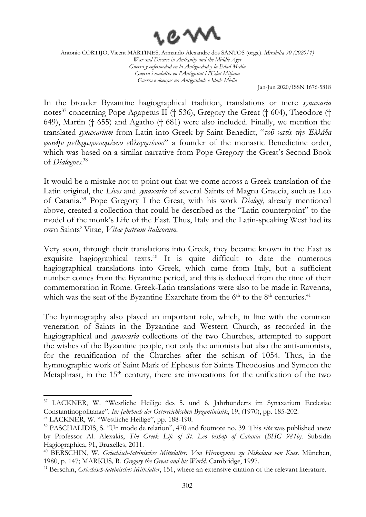

Jan-Jun 2020/ISSN 1676-5818

In the broader Byzantine hagiographical tradition, translations or mere *synaxaria* notes<sup>37</sup> concerning Pope Agapetus II († 536), Gregory the Great († 604), Theodore († 649), Martin († 655) and Agatho († 681) were also included. Finally, we mention the translated *synaxarium* from Latin into Greek by Saint Benedict, "*τοῦ κατὰ τὴν Ἑλλάδα φωνὴν µεθερµηνευοµένου εὐλογηµένου*" a founder of the monastic Benedictine order, which was based on a similar narrative from Pope Gregory the Great's Second Book of *Dialogues*. 38

It would be a mistake not to point out that we come across a Greek translation of the Latin original, the *Lives* and *synaxaria* of several Saints of Magna Graecia, such as Leo of Catania. <sup>39</sup> Pope Gregory I the Great, with his work *Dialogi*, already mentioned above, created a collection that could be described as the "Latin counterpoint" to the model of the monk's Life of the East. Thus, Italy and the Latin-speaking West had its own Saints' Vitae, *Vitae patrum italicorum*.

Very soon, through their translations into Greek, they became known in the East as exquisite hagiographical texts. <sup>40</sup> It is quite difficult to date the numerous hagiographical translations into Greek, which came from Italy, but a sufficient number comes from the Byzantine period, and this is deduced from the time of their commemoration in Rome. Greek-Latin translations were also to be made in Ravenna, which was the seat of the Byzantine Exarchate from the  $6<sup>th</sup>$  to the  $8<sup>th</sup>$  centuries.<sup>41</sup>

The hymnography also played an important role, which, in line with the common veneration of Saints in the Byzantine and Western Church, as recorded in the hagiographical and *synaxaria* collections of the two Churches, attempted to support the wishes of the Byzantine people, not only the unionists but also the anti-unionists, for the reunification of the Churches after the schism of 1054. Thus, in the hymnographic work of Saint Mark of Ephesus for Saints Theodosius and Symeon the Metaphrast, in the  $15<sup>th</sup>$  century, there are invocations for the unification of the two

<sup>37</sup> LACKNER, W. "Westliche Heilige des 5. und 6. Jahrhunderts im Synaxarium Ecclesiae Constantinopolitanae". *In: Jahrbuch der Österreichischen Byzantinistik*, 19, (1970), pp. 185-202.

<sup>38</sup> LACKNER, W. "Westliche Heilige", pp. 188-190.

<sup>39</sup> PASCHALIDIS, S. "Un mode de relation", 470 and footnote no. 39. This *vita* was published anew by Professor Al. Alexakis, *The Greek Life of St. Leo bishop of Catania* (*BHG 981b)*. Subsidia Hagiographica, 91, Bruxelles, 2011.

<sup>40</sup> BERSCHIN, W. *Griechisch-lateinisches Mittelalter. Von Hieronymus zu Nikolaus von Kues*. München, 1980, p. 147; MARKUS*,* R. *Gregory the Great and his World*. Cambridge, 1997.

<sup>41</sup> Berschin, *Griechisch-lateinisches Mittelalter*, 151, where an extensive citation of the relevant literature.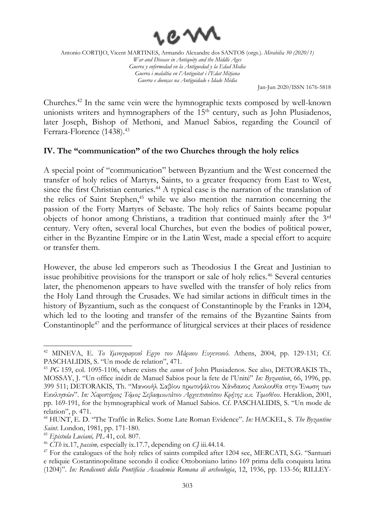

Jan-Jun 2020/ISSN 1676-5818

Churches. <sup>42</sup> In the same vein were the hymnographic texts composed by well-known unionists writers and hymnographers of the  $15<sup>th</sup>$  century, such as John Plusiadenos, later Joseph, Bishop of Methoni, and Manuel Sabios, regarding the Council of Ferrara-Florence (1438). 43

## **IV. The "communication" of the two Churches through the holy relics**

A special point of "communication" between Byzantium and the West concerned the transfer of holy relics of Martyrs, Saints, to a greater frequency from East to West, since the first Christian centuries.<sup>44</sup> A typical case is the narration of the translation of the relics of Saint Stephen, $45$  while we also mention the narration concerning the passion of the Forty Martyrs of Sebaste. The holy relics of Saints became popular objects of honor among Christians, a tradition that continued mainly after the 3rd century. Very often, several local Churches, but even the bodies of political power, either in the Byzantine Empire or in the Latin West, made a special effort to acquire or transfer them.

However, the abuse led emperors such as Theodosius I the Great and Justinian to issue prohibitive provisions for the transport or sale of holy relics.<sup>46</sup> Several centuries later, the phenomenon appears to have swelled with the transfer of holy relics from the Holy Land through the Crusades. We had similar actions in difficult times in the history of Byzantium, such as the conquest of Constantinople by the Franks in 1204, which led to the looting and transfer of the remains of the Byzantine Saints from Constantinople<sup>47</sup> and the performance of liturgical services at their places of residence

<sup>42</sup> MINEVA, E. *Το Υµνογραφικό Εργο του Μάρκου Ευγενικού*. Athens, 2004, pp. 129-131; Cf. PASCHALIDIS, S. "Un mode de relation", 471.

<sup>43</sup> *PG* 159, col. 1095-1106, where exists the *canon* of John Plusiadenos. See also, DETORAKIS Th., MOSSAY, J. "Un office inédit de Manuel Sabios pour la fete de l'Unité" *In: Byzantion*, 66, 1996, pp. 399 511; DETORAKIS, Th. "Μανουήλ Σαβίου πρωτοψάλτου Χάνδακος Ακολουθία στην Ένωση των Εκκλησιών". *In: Xαριστήριος Τόµος Σεβασµιωτάτου Αρχιεπισκόπου Κρήτης κ.κ. Τιµοθέου*. Heraklion, 2001, pp. 169-191, for the hymnographical work of Manuel Sabios. Cf. PASCHALIDIS, S. "Un mode de relation", p. 471.

<sup>44</sup> HUNT, E. D. "The Traffic in Relics. Some Late Roman Evidence". *In:* HACKEL, S. *The Byzantine Saint*. London, 1981, pp. 171-180.

<sup>45</sup> *Epistula Luciani, PL* 41, col. 807.

<sup>46</sup> *CTh* ix.17, *passim,* especially ix.17.7, depending on *CJ* iii.44.14.

<sup>&</sup>lt;sup>47</sup> For the catalogues of the holy relics of saints compiled after 1204 see, MERCATI, S.G. "Santuari e reliquie Costantinopolitane secondo il codice Ottoboniano latino 169 prima della conquista latina (1204)". *In: Rendiconti della Ρontificia Accademia Romana di archeologia*, 12, 1936, pp. 133-56; RILLEY-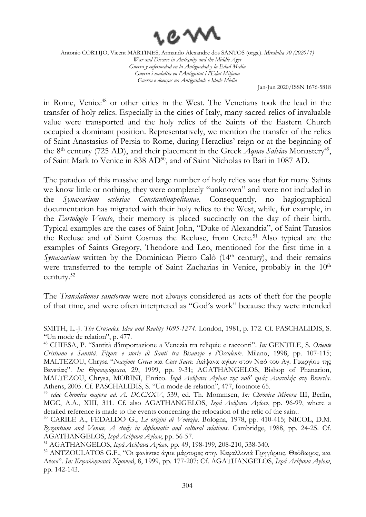

Jan-Jun 2020/ISSN 1676-5818

in Rome, Venice<sup>48</sup> or other cities in the West. The Venetians took the lead in the transfer of holy relics. Especially in the cities of Italy, many sacred relics of invaluable value were transported and the holy relics of the Saints of the Eastern Church occupied a dominant position. Representatively, we mention the transfer of the relics of Saint Anastasius of Persia to Rome, during Heraclius' reign or at the beginning of the 8<sup>th</sup> century (725 AD), and their placement in the Greek *Aquae Salviae* Monastery<sup>49</sup>, of Saint Mark to Venice in 838 AD<sup>50</sup>, and of Saint Nicholas to Bari in 1087 AD.

The paradox of this massive and large number of holy relics was that for many Saints we know little or nothing, they were completely "unknown" and were not included in the *Synaxarium ecclesiae Constantinopolitanae*. Consequently, no hagiographical documentation has migrated with their holy relics to the West, while, for example, in the *Eortologio Veneto*, their memory is placed succinctly on the day of their birth. Typical examples are the cases of Saint John, "Duke of Alexandria", of Saint Tarasios the Recluse and of Saint Cosmas the Recluse, from Crete. <sup>51</sup> Also typical are the examples of Saints Gregory, Theodore and Leo, mentioned for the first time in a *Synaxarium* written by the Dominican Pietro Calò (14<sup>th</sup> century), and their remains were transferred to the temple of Saint Zacharias in Venice, probably in the 10<sup>th</sup> century. 52

The *Translationes sanctorum* were not always considered as acts of theft for the people of that time, and were often interpreted as "God's work" because they were intended

SMITH, L.-J. *The Crusades. Idea and Reality 1095-1274*. London, 1981, p. 172. Cf. PASCHALIDIS, S. "Un mode de relation", p. 477.

<sup>48</sup> CHIESA, P. "Santità d'importazione a Venezia tra reliquie e racconti". *In:* GENTILE, S. *Oriente Cristiano e Santità. Figure e storie di Santi tra Bisanzio e l'Occidente*. Milano, 1998, pp. 107-115; MALTEZOU, Chrysa "*Nazione Greca* και *Cose Sacre.* Λείψανα αγίων στον Ναό του Αγ. Γεωργίου της Βενετίας". *In: Θησαυρίσµατα*, 29, 1999, pp. 9-31; AGATHANGELOS, Bishop of Phanarion, MALTEZOU, Chrysa, MORINI, Enrico. *Ιερά Λείψανα Αγίων της καθ' ηµάς Ανατολής στη Βενετία*. Athens, 2005. Cf. PASCHALIDIS, S. "Un mode de relation", 477, footnote 65.

<sup>49</sup> *edae Chronica majora ad. A. DCCXXV*, 539, ed. Th. Mommsen, *In: Chronica Minora* III, Berlin, MGC, A.A., XIII, 311. Cf. also AGATHANGELOS, *Ιερά Λείψανα Αγίων*, pp. 96-99, where a detailed reference is made to the events concerning the relocation of the relic of the saint.

<sup>50</sup> CARILE A., FEDALDO G., *Le origini di Venezia*. Bologna, 1978, pp. 410-415; NICOL, D.M. *Byzantium and Venice, A study in diplomatic and cultural relations*. Cambridge, 1988, pp. 24-25. Cf. AGATHANGELOS, *Ιερά Λείψανα Αγίων*, pp. 56-57.

<sup>51</sup> AGATHANGELOS, *Ιερά Λείψανα Αγίων*, pp. 49, 198-199, 208-210, 338-340.

<sup>52</sup> ANTZOULATOS G.F., "Οι φανέντες άγιοι µάρτυρες στην Κεφαλλονιά Γρηγόριος, Θεόδωρος, και Λέων". *In: Κεφαλληνιακά Χρονικά*, 8, 1999, pp. 177-207; Cf. AGATHANGELOS, *Ιερά Λείψανα Αγίων*, pp. 142-143.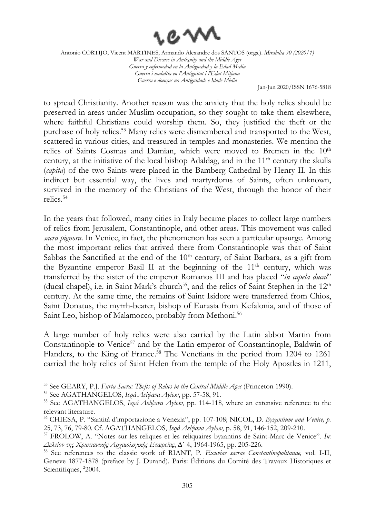

Jan-Jun 2020/ISSN 1676-5818

to spread Christianity. Another reason was the anxiety that the holy relics should be preserved in areas under Muslim occupation, so they sought to take them elsewhere, where faithful Christians could worship them. So, they justified the theft or the purchase of holy relics. <sup>53</sup> Many relics were dismembered and transported to the West, scattered in various cities, and treasured in temples and monasteries. We mention the relics of Saints Cosmas and Damian, which were moved to Bremen in the 10<sup>th</sup> century, at the initiative of the local bishop Adaldag, and in the  $11<sup>th</sup>$  century the skulls (*capita*) of the two Saints were placed in the Bamberg Cathedral by Henry II. In this indirect but essential way, the lives and martyrdoms of Saints, often unknown, survived in the memory of the Christians of the West, through the honor of their relics. 54

In the years that followed, many cities in Italy became places to collect large numbers of relics from Jerusalem, Constantinople, and other areas. This movement was called *sacra pignora*. In Venice, in fact, the phenomenon has seen a particular upsurge. Among the most important relics that arrived there from Constantinople was that of Saint Sabbas the Sanctified at the end of the  $10<sup>th</sup>$  century, of Saint Barbara, as a gift from the Byzantine emperor Basil II at the beginning of the 11<sup>th</sup> century, which was transferred by the sister of the emperor Romanos III and has placed "*in capela ducal*" (ducal chapel), i.e. in Saint Mark's church<sup>55</sup>, and the relics of Saint Stephen in the 12<sup>th</sup> century. At the same time, the remains of Saint Isidore were transferred from Chios, Saint Donatus, the myrrh-bearer, bishop of Eurasia from Kefalonia, and of those of Saint Leo, bishop of Malamocco, probably from Methoni.<sup>56</sup>

A large number of holy relics were also carried by the Latin abbot Martin from Constantinople to Venice<sup>57</sup> and by the Latin emperor of Constantinople, Baldwin of Flanders, to the King of France.<sup>58</sup> The Venetians in the period from 1204 to 1261 carried the holy relics of Saint Helen from the temple of the Holy Apostles in 1211,

<sup>54</sup> See AGATHANGELOS, *Ιερά Λείψανα Αγίων*, pp. 57-58, 91.

<sup>53</sup> See GEARY, P.J. *Furta Sacra: Thefts of Relics in the Central Middle Ages* (Princeton 1990).

<sup>55</sup> See AGATHANGELOS, *Ιερά Λείψανα Αγίων*, pp. 114-118, where an extensive reference to the relevant literature.

<sup>56</sup> CHIESA, P. "Santità d'importazione a Venezia", pp. 107-108; NICOL, D. *Byzantium and Venice, p.*  25, 73, 76, 79-80. Cf. AGATHANGELOS, *Ιερά Λείψανα Αγίων*, p. 58, 91, 146-152, 209-210.

<sup>57</sup> FROLOW, Α. "Notes sur les reliques et les reliquaires byzantins de Saint-Marc de Venice". *In: Δελτίον της Χριστιανικής Αρχαιολογικής Εταιρείας*, ∆΄ 4, 1964-1965, pp. 205-226.

<sup>58</sup> See references to the classic work of RIANT, P. *Exuviae sacrae Constantinopolitanae,* vol. I-II, Geneve 1877-1878 (preface by J. Durand). Paris: Éditions du Comité des Travaux Historiques et Scientifiques, <sup>2</sup>2004.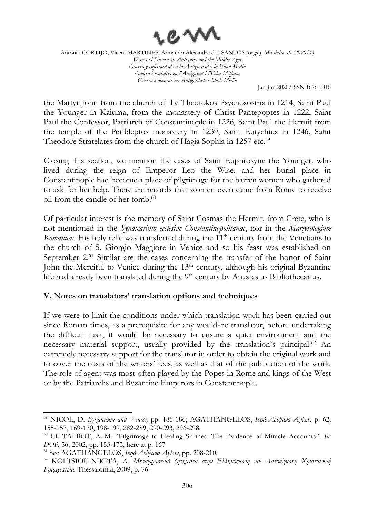

Jan-Jun 2020/ISSN 1676-5818

the Martyr John from the church of the Theotokos Psychosostria in 1214, Saint Paul the Younger in Kaiuma, from the monastery of Christ Pantepoptes in 1222, Saint Paul the Confessor, Patriarch of Constantinople in 1226, Saint Paul the Hermit from the temple of the Peribleptos monastery in 1239, Saint Eutychius in 1246, Saint Theodore Stratelates from the church of Hagia Sophia in 1257 etc.<sup>59</sup>

Closing this section, we mention the cases of Saint Euphrosyne the Younger, who lived during the reign of Emperor Leo the Wise, and her burial place in Constantinople had become a place of pilgrimage for the barren women who gathered to ask for her help. There are records that women even came from Rome to receive oil from the candle of her tomb. 60

Of particular interest is the memory of Saint Cosmas the Hermit, from Crete, who is not mentioned in the *Synaxarium ecclesiae Constantinopolitanae*, nor in the *Martyrologium Romanum*. His holy relic was transferred during the 11<sup>th</sup> century from the Venetians to the church of S. Giorgio Maggiore in Venice and so his feast was established on September 2.<sup>61</sup> Similar are the cases concerning the transfer of the honor of Saint John the Merciful to Venice during the 13<sup>th</sup> century, although his original Byzantine life had already been translated during the 9<sup>th</sup> century by Anastasius Bibliothecarius.

#### **V. Notes on translators' translation options and techniques**

If we were to limit the conditions under which translation work has been carried out since Roman times, as a prerequisite for any would-be translator, before undertaking the difficult task, it would be necessary to ensure a quiet environment and the necessary material support, usually provided by the translation's principal. <sup>62</sup> An extremely necessary support for the translator in order to obtain the original work and to cover the costs of the writers' fees, as well as that of the publication of the work. The role of agent was most often played by the Popes in Rome and kings of the West or by the Patriarchs and Byzantine Emperors in Constantinople.

<sup>59</sup> NICOL, D. *Byzantium and Venice,* pp. 185-186; AGATHANGELOS, *Ιερά Λείψανα Αγίων*, p. 62, 155-157, 169-170, 198-199, 282-289, 290-293, 296-298.

<sup>60</sup> Cf. TALBOT, A.-M. "Pilgrimage to Healing Shrines: The Evidence of Miracle Accounts". *In: DOP*, 56, 2002, pp. 153-173, here at p. 167

<sup>61</sup> See AGATHANGELOS, *Ιερά Λείψανα Αγίων*, pp. 208-210.

<sup>62</sup> KOLTSIOU-NIKITA, A. *Μεταφραστικά ζητήµατα στην Ελληνόφωνη και Λατινόφωνη Χριστιανική Γραµµατεία*. Thessaloniki, 2009, p. 76.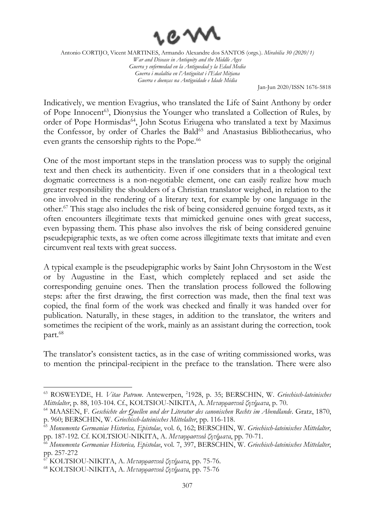

Jan-Jun 2020/ISSN 1676-5818

Indicatively, we mention Evagrius, who translated the Life of Saint Anthony by order of Pope Innocent<sup>63</sup>, Dionysius the Younger who translated a Collection of Rules, by order of Pope Hormisdas<sup>64</sup>, John Scotus Eriugena who translated a text by Maximus the Confessor, by order of Charles the Bald<sup>65</sup> and Anastasius Bibliothecarius, who even grants the censorship rights to the Pope.<sup>66</sup>

One of the most important steps in the translation process was to supply the original text and then check its authenticity. Even if one considers that in a theological text dogmatic correctness is a non-negotiable element, one can easily realize how much greater responsibility the shoulders of a Christian translator weighed, in relation to the one involved in the rendering of a literary text, for example by one language in the other. <sup>67</sup> This stage also includes the risk of being considered genuine forged texts, as it often encounters illegitimate texts that mimicked genuine ones with great success, even bypassing them. This phase also involves the risk of being considered genuine pseudepigraphic texts, as we often come across illegitimate texts that imitate and even circumvent real texts with great success.

A typical example is the pseudepigraphic works by Saint John Chrysostom in the West or by Augustine in the East, which completely replaced and set aside the corresponding genuine ones. Then the translation process followed the following steps: after the first drawing, the first correction was made, then the final text was copied, the final form of the work was checked and finally it was handed over for publication. Naturally, in these stages, in addition to the translator, the writers and sometimes the recipient of the work, mainly as an assistant during the correction, took part. 68

The translator's consistent tactics, as in the case of writing commissioned works, was to mention the principal-recipient in the preface to the translation. There were also

<sup>63</sup> ROSWEYDE, H. *Vitae Patrum*. Antewerpen, 2 1928, p. 35; BERSCHIN, W. *Griechisch-lateinisches Mittelalter*, p. 88, 103-104. Cf., KOLTSIOU-NIKITA, A. *Μεταφραστικά ζητήµατα*, p. 70.

<sup>64</sup> MAASEN, F. *Geschichte der Quellen und der Literatur des canonischen Rechts im Abendlande*. Gratz, 1870, p. 960; BERSCHIN, W. *Griechisch-lateinisches Mittelalter*, pp. 116-118.

<sup>65</sup> *Monumenta Germaniae Historica, Epistolae*, vol. 6, 162; BERSCHIN, W. *Griechisch-lateinisches Mittelalter*, pp. 187-192. Cf. KOLTSIOU-NIKITA, A. *Μεταφραστικά ζητήµατα*, pp. 70-71.

<sup>66</sup> *Monumenta Germaniae Historica, Epistolae*, vol. 7, 397, BERSCHIN, W. *Griechisch-lateinisches Mittelalter*, pp. 257-272

<sup>67</sup> KOLTSIOU-NIKITA, A. *Μεταφραστικά ζητήµατα*, pp. 75-76.

<sup>68</sup> KOLTSIOU-NIKITA, A. *Μεταφραστικά ζητήµατα*, pp. 75-76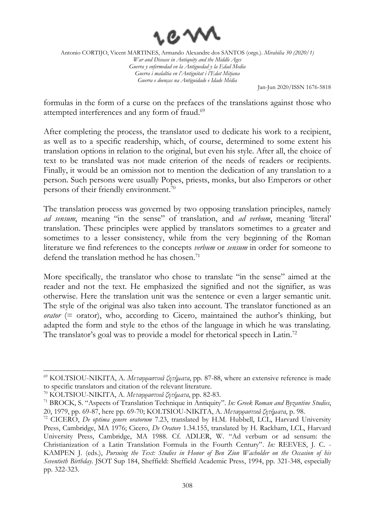

Jan-Jun 2020/ISSN 1676-5818

formulas in the form of a curse on the prefaces of the translations against those who attempted interferences and any form of fraud.<sup>69</sup>

After completing the process, the translator used to dedicate his work to a recipient, as well as to a specific readership, which, of course, determined to some extent his translation options in relation to the original, but even his style. After all, the choice of text to be translated was not made criterion of the needs of readers or recipients. Finally, it would be an omission not to mention the dedication of any translation to a person. Such persons were usually Popes, priests, monks, but also Emperors or other persons of their friendly environment.<sup>70</sup>

The translation process was governed by two opposing translation principles, namely *ad sensum*, meaning "in the sense" of translation, and *ad verbum*, meaning 'literal' translation. These principles were applied by translators sometimes to a greater and sometimes to a lesser consistency, while from the very beginning of the Roman literature we find references to the concepts *verbum* or *sensum* in order for someone to defend the translation method he has chosen. 71

More specifically, the translator who chose to translate "in the sense" aimed at the reader and not the text. He emphasized the signified and not the signifier, as was otherwise. Here the translation unit was the sentence or even a larger semantic unit. The style of the original was also taken into account. The translator functioned as an *orator* (= orator), who, according to Cicero, maintained the author's thinking, but adapted the form and style to the ethos of the language in which he was translating. The translator's goal was to provide a model for rhetorical speech in Latin.<sup>72</sup>

<sup>69</sup> KOLTSIOU-NIKITA, A. *Μεταφραστικά ζητήµατα*, pp. 87-88, where an extensive reference is made to specific translators and citation of the relevant literature.

<sup>70</sup> KOLTSIOU-NIKITA, A. *Μεταφραστικά ζητήµατα*, pp. 82-83.

<sup>71</sup> BROCK, S. "Aspects of Translation Technique in Antiquity". *In: Greek Roman and Byzantine Studies*, 20, 1979, pp. 69-87, here pp. 69-70; KOLTSIOU-NIKITA, A. *Μεταφραστικά ζητήµατα*, p. 98.

<sup>72</sup> CICERO, *De optima genere oratorum* 7.23, translated by H.M. Hubbell, LCL, Harvard University Press, Cambridge, MA 1976; Cicero, *De Oratore* 1.34.155, translated by H. Rackham, LCL, Harvard University Press, Cambridge, MA 1988. Cf. ADLER, W. "Ad verbum or ad sensum: the Christianization of a Latin Translation Formula in the Fourth Century". *In:* REEVES, J. C. - KAMPEN J. (eds.), *Pursuing the Text: Studies in Honor of Ben Zion Wacholder on the Occasion of his Seventieth Birthday*. JSOT Sup 184, Sheffield: Sheffield Academic Press, 1994, pp. 321-348, especially pp. 322-323.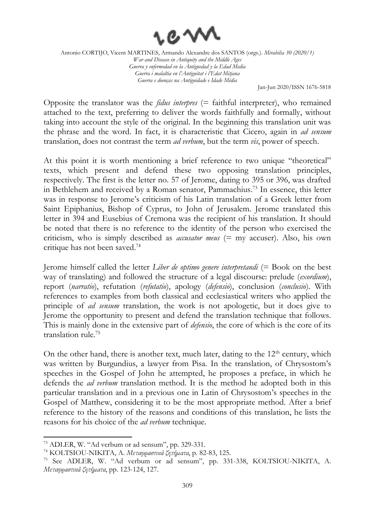

Jan-Jun 2020/ISSN 1676-5818

Opposite the translator was the *fidus interpres* (= faithful interpreter), who remained attached to the text, preferring to deliver the words faithfully and formally, without taking into account the style of the original. In the beginning this translation unit was the phrase and the word. In fact, it is characteristic that Cicero, again in *ad sensum* translation, does not contrast the term *ad verbum*, but the term *vis*, power of speech.

At this point it is worth mentioning a brief reference to two unique "theoretical" texts, which present and defend these two opposing translation principles, respectively. The first is the letter no. 57 of Jerome, dating to 395 or 396, was drafted in Bethlehem and received by a Roman senator, Pammachius. <sup>73</sup> In essence, this letter was in response to Jerome's criticism of his Latin translation of a Greek letter from Saint Epiphanius, Bishop of Cyprus, to John of Jerusalem. Jerome translated this letter in 394 and Eusebius of Cremona was the recipient of his translation. It should be noted that there is no reference to the identity of the person who exercised the criticism, who is simply described as *accusator meus* (= my accuser). Also, his own critique has not been saved. 74

Jerome himself called the letter *Liber de optimo genere interpretandi* (= Book on the best way of translating) and followed the structure of a legal discourse: prelude (*exordium*), report (*narratio*), refutation (*refutatio*), apology (*defensio*), conclusion (*conclusio*). With references to examples from both classical and ecclesiastical writers who applied the principle of *ad sensum* translation, the work is not apologetic, but it does give to Jerome the opportunity to present and defend the translation technique that follows. This is mainly done in the extensive part of *defensio*, the core of which is the core of its translation rule. 75

On the other hand, there is another text, much later, dating to the  $12<sup>th</sup>$  century, which was written by Burgundius, a lawyer from Pisa. In the translation, of Chrysostom's speeches in the Gospel of John he attempted, he proposes a preface, in which he defends the *ad verbum* translation method. It is the method he adopted both in this particular translation and in a previous one in Latin of Chrysostom's speeches in the Gospel of Matthew, considering it to be the most appropriate method. After a brief reference to the history of the reasons and conditions of this translation, he lists the reasons for his choice of the *ad verbum* technique.

<sup>73</sup> ADLER, W. "Ad verbum or ad sensum", pp. 329-331.

<sup>74</sup> KOLTSIOU-NIKITA, A. *Μεταφραστικά ζητήµατα*, p. 82-83, 125.

<sup>75</sup> See ADLER, W. "Ad verbum or ad sensum", pp. 331-338, KOLTSIOU-NIKITA, A. *Μεταφραστικά ζητήµατα*, pp. 123-124, 127.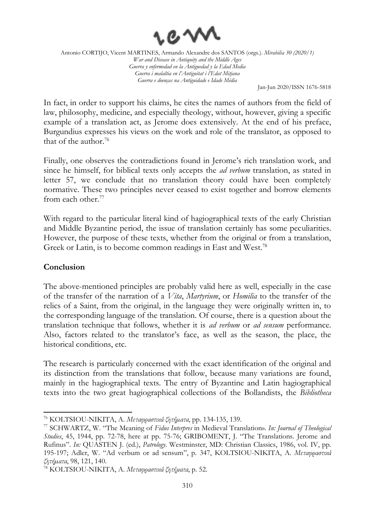

Jan-Jun 2020/ISSN 1676-5818

In fact, in order to support his claims, he cites the names of authors from the field of law, philosophy, medicine, and especially theology, without, however, giving a specific example of a translation act, as Jerome does extensively. At the end of his preface, Burgundius expresses his views on the work and role of the translator, as opposed to that of the author. 76

Finally, one observes the contradictions found in Jerome's rich translation work, and since he himself, for biblical texts only accepts the *ad verbum* translation, as stated in letter 57, we conclude that no translation theory could have been completely normative. These two principles never ceased to exist together and borrow elements from each other. 77

With regard to the particular literal kind of hagiographical texts of the early Christian and Middle Byzantine period, the issue of translation certainly has some peculiarities. However, the purpose of these texts, whether from the original or from a translation, Greek or Latin, is to become common readings in East and West.<sup>78</sup>

#### **Conclusion**

The above-mentioned principles are probably valid here as well, especially in the case of the transfer of the narration of a *Vita*, *Martyrium*, or *Homilia* to the transfer of the relics of a Saint, from the original, in the language they were originally written in, to the corresponding language of the translation. Of course, there is a question about the translation technique that follows, whether it is *ad verbum* or *ad sensum* performance. Also, factors related to the translator's face, as well as the season, the place, the historical conditions, etc.

The research is particularly concerned with the exact identification of the original and its distinction from the translations that follow, because many variations are found, mainly in the hagiographical texts. The entry of Byzantine and Latin hagiographical texts into the two great hagiographical collections of the Bollandists, the *Bibliotheca* 

<sup>76</sup> KOLTSIOU-NIKITA, A. *Μεταφραστικά ζητήµατα*, pp. 134-135, 139.

<sup>77</sup> SCHWARTZ, W. "The Meaning of *Fidus Interpres* in Medieval Translation». *In: Journal of Theological Studies*, 45, 1944, pp. 72-78, here at pp. 75-76; GRIBOMENT, J. "The Translations. Jerome and Rufinus". *In:* QUASTEN J. (ed.), *Patrology*. Westminster, MD: Christian Classics, 1986, vol. IV, pp. 195-197; Adler, W. "Ad verbum or ad sensum", p. 347, KOLTSIOU-NIKITA, A. *Μεταφραστικά ζητήµατα*, 98, 121, 140.

<sup>78</sup> KOLTSIOU-NIKITA, A. *Μεταφραστικά ζητήματα*, p. 52.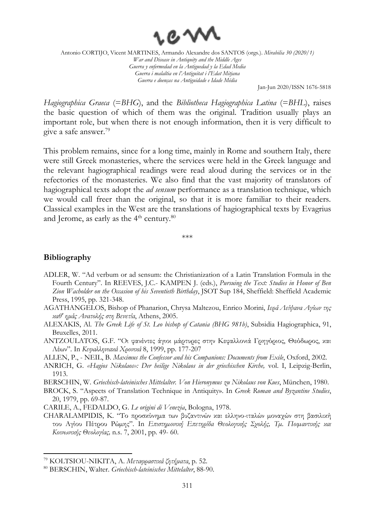

Jan-Jun 2020/ISSN 1676-5818

*Hagiographica Graeca* (=*BHG*), and the *Bibliotheca Hagiographica Latina* (=*BHL*), raises the basic question of which of them was the original. Tradition usually plays an important role, but when there is not enough information, then it is very difficult to give a safe answer. 79

This problem remains, since for a long time, mainly in Rome and southern Italy, there were still Greek monasteries, where the services were held in the Greek language and the relevant hagiographical readings were read aloud during the services or in the refectories of the monasteries. We also find that the vast majority of translators of hagiographical texts adopt the *ad sensum* performance as a translation technique, which we would call freer than the original, so that it is more familiar to their readers. Classical examples in the West are the translations of hagiographical texts by Evagrius and Jerome, as early as the 4<sup>th</sup> century. $^{\rm 80}$ 

\*\*\*

#### **Bibliography**

- ADLER, W. "Ad verbum or ad sensum: the Christianization of a Latin Translation Formula in the Fourth Century". In REEVES, J.C.- KAMPEN J. (eds.), *Pursuing the Text: Studies in Honor of Ben Zion Wacholder on the Occasion of his Seventieth Birthday*, JSOT Sup 184, Sheffield: Sheffield Academic Press, 1995, pp. 321-348.
- AGATHANGELOS, Bishop of Phanarion, Chrysa Maltezou, Enrico Morini, *Ιερά Λείψανα Αγίων της καθ' ημάς Ανατολής στη Βενετία*, Athens, 2005.
- ALEXAKIS, Al. *The Greek Life of St. Leo bishop of Catania (BHG 981b)*, Subsidia Hagiographica, 91, Bruxelles, 2011.
- ANTZOULATOS, G.F. "Οι φανέντες άγιοι µάρτυρες στην Κεφαλλονιά Γρηγόριος, Θεόδωρος, και Λέων". In *Κεφαλληνιακά Χρονικά* 8, 1999, pp. 177-207
- ALLEN, P., NEIL, B. *Maximus the Confessor and his Companions: Documents from Exile*, Oxford, 2002.
- ANRICH, G. *«Hagios Nikolaos»: Der heilige Nikolaos in der griechischen Kirche,* vol. I, Leipzig-Berlin, 1913.

BERSCHIN, W. *Griechisch-lateinisches Mittelalter. Von Hieronymus zu Nikolaus von Kues*, München, 1980.

BROCK, S. "Aspects of Translation Technique in Antiquity». In *Greek Roman and Byzantine Studies*, 20, 1979, pp. 69-87.

CARILE, A., FEDALDO, G. *Le origini di Venezia*, Bologna, 1978.

CHARALAMPIDIS, K. "Το προσκύνηµα των βυζαντινών και ελληνο-ιταλών µοναχών στη βασιλική του Αγίου Πέτρου Ρώµης". In *Επιστηµονική Επετηρίδα Θεολογικής Σχολής, Τµ. Ποιµαντικής και Κοινωνικής Θεολογίας,* n.s. 7, 2001, pp. 49- 60.

<sup>79</sup> KOLTSIOU-NIKITA, A. *Μεταφραστικά ζητήματα*, p. 52.

<sup>80</sup> BERSCHIN, Walter. *Griechisch-lateinisches Mittelalter*, 88-90.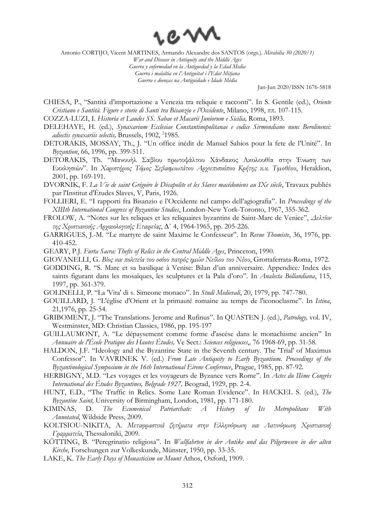

Antonio CORTIJO, Vicent MARTINES, Armando Alexandre dos SANTOS (orgs.). *Mirabilia 30 (2020/1)*

*War and Disease in Antiquity and the Middle Ages Guerra y enfermedad en la Antiguedad y la Edad Media Guerra i malaltia en l'Antiguitat i l'Edat Mitjana Guerra e doenças na Antiguidade e Idade Média*

Jan-Jun 2020/ISSN 1676-5818

CHIESA, P., "Santità d'importazione a Venezia tra reliquie e racconti". Ιn S. Gentile (ed.), *Oriente Cristiano e Santità. Figure e storie di Santi tra Bisanzio e l'Occidente*, Milano, 1998, ππ. 107-115.

COZZA-LUZI, I. *Historia et Laudes SS. Sabae et Macarii Juniorum e Sicilia,* Roma, 1893.

- DELEHAYE, H. (ed.), *Synaxarium Ecclesiae Constantinopolitanae e codice Sirmondiano nunc Berolinensi:*  adiectis synaxariis selectis, Brussels, 1902, <sup>2</sup>1985.
- DETORAKIS, MOSSAY, Th., J. "Un office inédit de Manuel Sabios pour la fete de l'Unité". In *Byzantion*, 66, 1996, pp. 399-511.
- DETORAKIS, Th. "Μανουήλ Σαβίου πρωτοψάλτου Χάνδακος Ακολουθία στην Ένωση των Εκκλησιών". In *Xαριστήριος Τόµος Σεβασµιωτάτου Αρχιεπισκόπου Κρήτης κ.κ. Τιµοθέου*, Heraklion, 2001, pp. 169-191.
- DVORNIK, F. *La Vie de saint Grégoire le Décapolite et les Slaves macédoniens au IXe siècle*, Travaux publiés par l'Institut d'Études Slaves, V, Paris, 1926.
- FOLLIERI, E. "I rapporti fra Bisanzio e l'Occidente nel campo dell'agiografia". In *Proceedings of the XIIIth International Congress of Byzantine Studies*, London-New York-Toronto, 1967, 355-362.
- FROLOW, Α. "Notes sur les reliques et les reliquaires byzantins de Saint-Marc de Venice", *Δελτίον της Χριστιανικής Αρχαιολογικής Εταιρείας*, ∆΄ 4, 1964-1965, pp. 205-226.
- GARRIGUES, J.-M. "Le martyre de saint Maxime le Confesseur". In *Revue Thomiste*, 36, 1976, pp. 410-452.
- GEARY, P.J. *Furta Sacra: Thefts of Relics in the Central Middle Ages*, Princeton, 1990.
- GIOVANELLI, G. *Βίος και πολιτεία του οσίου πατρός ηµών Νείλου του Νέου*, Grottaferrata-Roma, 1972.
- GODDING, R. "S. Marc et sa basilique à Venise: Bilan d'un anniversaire. Appendice*:* Index des saints figurant dans les mosaïques, les sculptures et la Pala d'oro". In *Analecta Bollandiana*, 115, 1997, pp. 361-379.
- GOLINELLI, P. "La 'Vita' di s. Simeone monaco". In *Studi Medievali*, 20, 1979, pp. 747-780.
- GOUILLARD, J. "L'église d'Orient et la primauté romaine au temps de l'iconoclasme". In *Istina*, 21,1976, pp. 25-54.
- GRIBOMENT, J. "The Translations. Jerome and Rufinus". In QUASTEN J. (ed.), *Patrology,* vol. IV, Westminster, MD: Christian Classics, 1986, pp. 195-197
- GUILLAUMONT, A. "Le dépaysement comme forme d'ascèse dans le monachisme ancien" In *Annuaire de l'École Pratique des Hautes Études,* Ve Sect.: *Sciences religieuses*,*,* 76 1968-69, pp. 31-58.
- HALDON, J.F. "Ideology and the Byzantine State in the Seventh century. The 'Trial' of Maximus Confessor". In VAVRINEK V. (ed.) *From Late Antiquity to Early Byzantium. Proceedings of the Byzantinological Symposium in the 16th International Eirene Conference*, Prague, 1985, pp. 87-92.
- HERBIGNY, M.D. "Les voyages et les voyageurs de Byzance vers Rome". In *Actes du IIème Congrès International des Études Byzantines, Belgrade 1927,* Beograd, 1929, pp. 2-4.
- HUNT, E.D., "The Traffic in Relics. Some Late Roman Evidence". In HACKEL S. (ed.), *The Byzantine Saint,* University of Birmingham, London, 1981, pp. 171-180.
- KIMINAS, D. *The Ecumenical Patriarchate: A History of Its Metropolitans With Annotated*, Wildside Press, 2009.
- KOLTSIOU-NIKITA, A. *Μεταφραστικά ζητήματα στην Ελληνόφωνη και Λατινόφωνη Χριστιανική Γραμματεία*, Thessaloniki, 2009.
- KÖTTING, B. "Peregrinatio religiosa". In *Wallfahrten in der Antike und das Pilgerwesen in der alten Kirche,* Forschungen zur Volkeskunde, Münster, 1950, pp. 33-35.
- LAKE, Κ. *The Early Days of Monasticism on Mount* Athos, Oxford, 1909.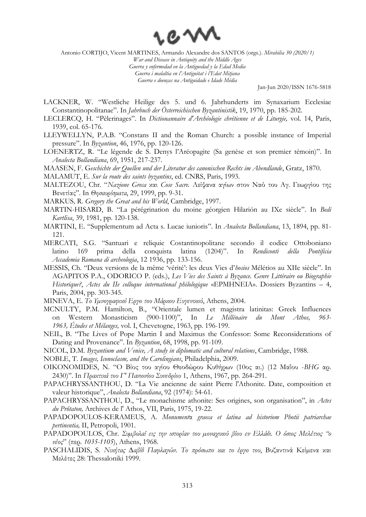

Antonio CORTIJO, Vicent MARTINES, Armando Alexandre dos SANTOS (orgs.). *Mirabilia 30 (2020/1)*

*War and Disease in Antiquity and the Middle Ages Guerra y enfermedad en la Antiguedad y la Edad Media Guerra i malaltia en l'Antiguitat i l'Edat Mitjana Guerra e doenças na Antiguidade e Idade Média*

Jan-Jun 2020/ISSN 1676-5818

- LACKNER, W. "Westliche Heilige des 5. und 6. Jahrhunderts im Synaxarium Ecclesiae Constantinopolitanae". In *Jahrbuch der Österreichischen Byzantinistik*, 19, 1970, pp. 185-202.
- LECLERCQ, H. "Pèlerinages". In *Dictionannaire d'Archéologie chrétienne et de Liturgie,* vol. 14, Paris, 1939, col. 65-176.
- LLEYWELLYN, P.A.B. "Constans II and the Roman Church: a possible instance of Imperial pressure". In *Byzantion*, 46, 1976, pp. 120-126.
- LOENERTZ, R. "Le légende de S. Denys l'Aréopagite (Sa genèse et son premier témoin)". In *Analecta Bollandiana*, 69, 1951, 217-237.
- MAASEN, F. G*eschichte der Quellen und der Literatur des canonischen Rechts im Abendlande*, Gratz, 1870.
- MALAMUT, E. *Sur la route des saints byzantins*, ed. CNRS, Paris, 1993.
- MALTEZOU, Chr. "*Nazione Greca* και *Cose Sacre.* Λείψανα αγίων στον Ναό του Αγ. Γεωργίου της Βενετίας". In *Θησαυρίσματα*, 29, 1999, pp. 9-31.
- MARKUS*,* R. *Gregory the Great and his World*, Cambridge, 1997.
- MARTIN-HISARD, B. "La pérégrination du moine géorgien Hilarión au IXe siècle". In *Bedi Kartlisa*, 39, 1981, pp. 120-138.
- MARTINI, E. "Supplementum ad Acta s. Lucae iunioris". In *Analecta Bollandiana*, 13, 1894, pp. 81- 121.
- MERCATI, S.G. "Santuari e reliquie Costantinopolitane secondo il codice Ottoboniano latino 169 prima della conquista latina (1204)". In *Rendiconti della Ρontificia Accademia Romana di archeologia*, 12 1936, pp. 133-156.
- MESSIS, Ch. "Deux versions de la même 'vérité': les deux Vies d'*hosios* Mélétios au XIIe siècle". In AGAPITOS P.A., ODORICO P. (eds.), *Les Vies des Saints à Byzance. Genre Littéraire ou Biographie Historique?*, *Actes du IIe colloque international philologique* «EPMHNEIA». Dossiers Byzantins – 4, Paris, 2004, pp. 303-345.
- MINEVA, E. *Το Υµνογραφικό Εργο του Μάρκου Ευγενικού*, Athens, 2004.
- MCNULTY, P.M. Hamilton, B., "Orientale lumen et magistra latinitas: Greek Influences on Western Monasticism (900-1100)", In *Le Millénaire du Mont Athos, 963- 1963, Études et Mélanges,* vol. I, Chevetogne, 1963, pp. 196-199.
- NEIL, B. "The Lives of Pope Martin I and Maximus the Confessor: Some Reconsiderations of Dating and Provenance". In *Byzantion*, 68, 1998, pp. 91-109.
- NICOL, D.M. *Byzantium and Venice, A study in diplomatic and cultural relations*, Cambridge, 1988.

NOBLE, T. *Images, Iconoclasm, and the Carolingians*, Philadelphia, 2009.

- OIKONOMIDES, N. "Ο Βίος του αγίου Θεοδώρου Κυθήρων (10ος αι.) (12 Μαΐου -*BHG* αρ. 2430)". In *Πρακτικά του Γ' Πανιονίου Συνεδρίου* 1, Athens, 1967, pp. 264-291.
- PAPACHRYSSANTHOU, D. "La Vie ancienne de saint Pierre l'Athonite. Date, composition et valeur historique", *Analecta Bollandiana*, 92 (1974): 54-61.
- PAPACHRYSSANTHOU, D., "Le monachisme athonite: Ses origines, son organisation", in *Actes du Prôtaton,* Archives de l' Athos, VII, Paris, 1975, 19-22.
- PAPADOPOULOS-KERAMEUS, A. *Monument*α *graeca et latina ad historiom Photii patriarchae pertinentia,* II, Petropoli, 1901.
- PAPADOPOULOS, Chr. *Συµβολαί εις την ιστορίαν του µοναχικού βίου εν Ελλάδι. Ο όσιος Μελέτιος "ο νέος*" (περ*. 1035-1105*), Athens, 1968.
- PASCHALIDIS, S. *Νικήτας ∆αβίδ Παφλαγών. Το πρόσωπο και το έργο του*, Βυζαντινά Κείµενα και Μελέτες 28: Thessaloniki 1999.